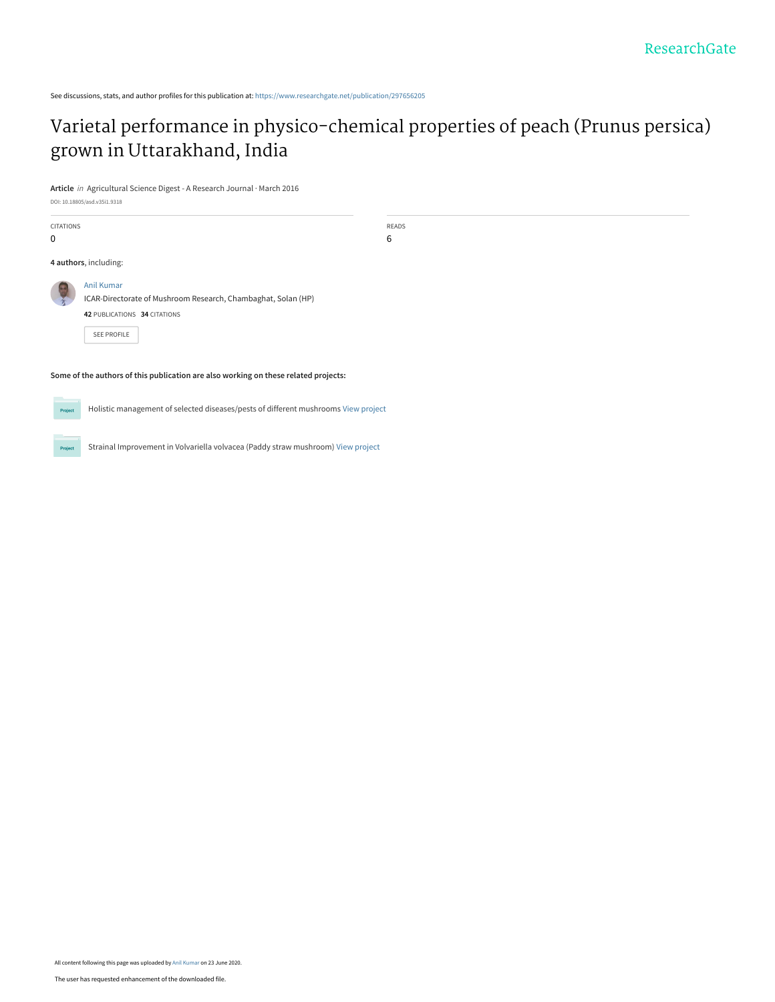## [Varietal performance in physico-chemical properties of peach \(Prunus persica\)](https://www.researchgate.net/publication/297656205_Varietal_performance_in_physico-chemical_properties_of_peach_Prunus_persica_grown_in_Uttarakhand_India?enrichId=rgreq-38011e70509b48878d19a8241a70e320-XXX&enrichSource=Y292ZXJQYWdlOzI5NzY1NjIwNTtBUzo5MDU1NTE3MjY3ODg2MTdAMTU5MjkxMTc2NDcxMg%3D%3D&el=1_x_3&_esc=publicationCoverPdf) grown in Uttarakhand, India

**Article** in Agricultural Science Digest - A Research Journal · March 2016

DOI: 10.18805/asd.v35i1.9318

| CITATIONS<br>0 |                                                                                                                                   | READS<br>6 |  |
|----------------|-----------------------------------------------------------------------------------------------------------------------------------|------------|--|
|                | 4 authors, including:                                                                                                             |            |  |
|                | <b>Anil Kumar</b><br>ICAR-Directorate of Mushroom Research, Chambaghat, Solan (HP)<br>42 PUBLICATIONS 34 CITATIONS<br>SEE PROFILE |            |  |
|                | Some of the authors of this publication are also working on these related projects:                                               |            |  |

Project

Project

Holistic management of selected diseases/pests of different mushrooms [View project](https://www.researchgate.net/project/Holistic-management-of-selected-diseases-pests-of-different-mushrooms?enrichId=rgreq-38011e70509b48878d19a8241a70e320-XXX&enrichSource=Y292ZXJQYWdlOzI5NzY1NjIwNTtBUzo5MDU1NTE3MjY3ODg2MTdAMTU5MjkxMTc2NDcxMg%3D%3D&el=1_x_9&_esc=publicationCoverPdf)

Strainal Improvement in Volvariella volvacea (Paddy straw mushroom) [View project](https://www.researchgate.net/project/Strainal-Improvement-in-Volvariella-volvacea-Paddy-straw-mushroom?enrichId=rgreq-38011e70509b48878d19a8241a70e320-XXX&enrichSource=Y292ZXJQYWdlOzI5NzY1NjIwNTtBUzo5MDU1NTE3MjY3ODg2MTdAMTU5MjkxMTc2NDcxMg%3D%3D&el=1_x_9&_esc=publicationCoverPdf)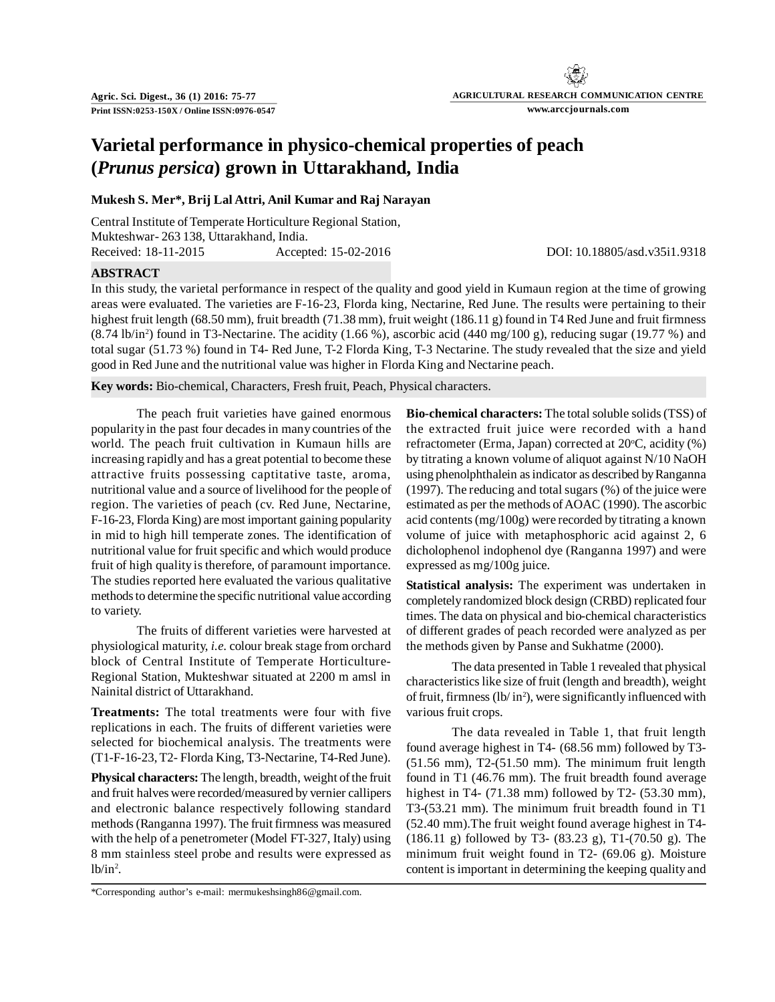# **AGRICULTURAL RESEARCH COMMUNICATION CENTRE www.arccjournals.com**

### **Varietal performance in physico-chemical properties of peach (***Prunus persica***) grown in Uttarakhand, India**

### **Mukesh S. Mer\*, Brij Lal Attri, Anil Kumar and Raj Narayan**

Central Institute of Temperate Horticulture Regional Station, Mukteshwar- 263 138, Uttarakhand, India. Received: 18-11-2015 Accepted: 15-02-2016 DOI: 10.18805/asd.v35i1.9318

**ABSTRACT**

In this study, the varietal performance in respect of the quality and good yield in Kumaun region at the time of growing areas were evaluated. The varieties are F-16-23, Florda king, Nectarine, Red June. The results were pertaining to their highest fruit length (68.50 mm), fruit breadth (71.38 mm), fruit weight (186.11 g) found in T4 Red June and fruit firmness  $(8.74 \text{ lb/in}^2)$  found in T3-Nectarine. The acidity  $(1.66 \%)$ , ascorbic acid  $(440 \text{ mg}/100 \text{ g})$ , reducing sugar  $(19.77 \%)$  and total sugar (51.73 %) found in T4- Red June, T-2 Florda King, T-3 Nectarine. The study revealed that the size and yield good in Red June and the nutritional value was higher in Florda King and Nectarine peach.

**Key words:** Bio-chemical, Characters, Fresh fruit, Peach, Physical characters.

The peach fruit varieties have gained enormous popularity in the past four decades in many countries of the world. The peach fruit cultivation in Kumaun hills are increasing rapidly and has a great potential to become these attractive fruits possessing captitative taste, aroma, nutritional value and a source of livelihood for the people of region. The varieties of peach (cv. Red June, Nectarine, F-16-23, Florda King) are most important gaining popularity in mid to high hill temperate zones. The identification of nutritional value for fruit specific and which would produce fruit of high quality is therefore, of paramount importance. The studies reported here evaluated the various qualitative methods to determine the specific nutritional value according to variety.

The fruits of different varieties were harvested at physiological maturity, *i.e.* colour break stage from orchard block of Central Institute of Temperate Horticulture-Regional Station, Mukteshwar situated at 2200 m amsl in Nainital district of Uttarakhand.

**Treatments:** The total treatments were four with five replications in each. The fruits of different varieties were selected for biochemical analysis. The treatments were (T1-F-16-23, T2- Florda King, T3-Nectarine, T4-Red June).

**Physical characters:** The length, breadth, weight of the fruit and fruit halves were recorded/measured by vernier callipers and electronic balance respectively following standard methods (Ranganna 1997). The fruit firmness was measured with the help of a penetrometer (Model FT-327, Italy) using 8 mm stainless steel probe and results were expressed as  $lb/in^2$ .

\*Corresponding author's e-mail: mermukeshsingh86@gmail.com.

**Bio-chemical characters:** The total soluble solids (TSS) of the extracted fruit juice were recorded with a hand refractometer (Erma, Japan) corrected at  $20^{\circ}$ C, acidity (%) by titrating a known volume of aliquot against N/10 NaOH using phenolphthalein as indicator as described by Ranganna (1997). The reducing and total sugars (%) of the juice were estimated as per the methods of AOAC (1990). The ascorbic acid contents (mg/100g) were recorded by titrating a known volume of juice with metaphosphoric acid against 2, 6 dicholophenol indophenol dye (Ranganna 1997) and were expressed as mg/100g juice.

**Statistical analysis:** The experiment was undertaken in completely randomized block design (CRBD) replicated four times. The data on physical and bio-chemical characteristics of different grades of peach recorded were analyzed as per the methods given by Panse and Sukhatme (2000).

The data presented in Table 1 revealed that physical characteristics like size of fruit (length and breadth), weight of fruit, firmness (lb/ in<sup>2</sup> ), were significantly influenced with various fruit crops.

The data revealed in Table 1, that fruit length found average highest in T4- (68.56 mm) followed by T3- (51.56 mm), T2-(51.50 mm). The minimum fruit length found in T1 (46.76 mm). The fruit breadth found average highest in T4-  $(71.38 \text{ mm})$  followed by T2-  $(53.30 \text{ mm})$ , T3-(53.21 mm). The minimum fruit breadth found in T1 (52.40 mm).The fruit weight found average highest in T4- (186.11 g) followed by T3- (83.23 g), T1-(70.50 g). The minimum fruit weight found in T2- (69.06 g). Moisture content is important in determining the keeping quality and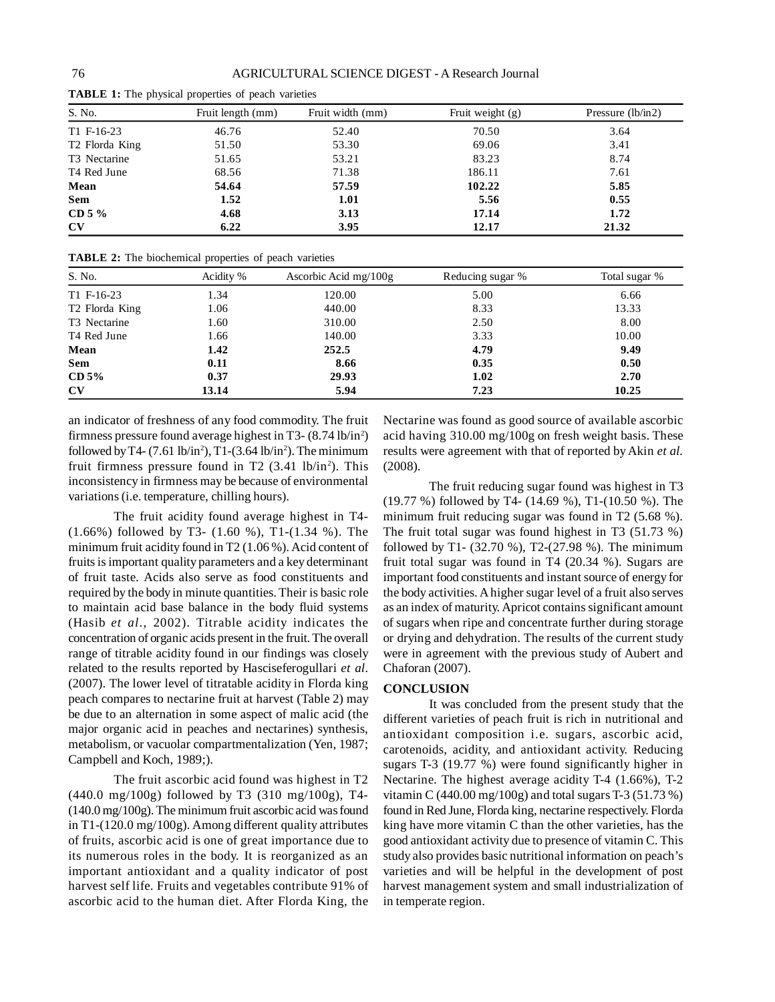| S. No.                     | Fruit length (mm) | Fruit width (mm) | Fruit weight $(g)$ | Pressure (lb/in2) |  |
|----------------------------|-------------------|------------------|--------------------|-------------------|--|
| T1 F-16-23                 | 46.76             | 52.40            | 70.50              | 3.64              |  |
| T <sub>2</sub> Florda King | 51.50             | 53.30            | 69.06              | 3.41              |  |
| T <sub>3</sub> Nectarine   | 51.65             | 53.21            | 83.23              | 8.74              |  |
| T4 Red June                | 68.56             | 71.38            | 186.11             | 7.61              |  |
| Mean                       | 54.64             | 57.59            | 102.22             | 5.85              |  |
| <b>Sem</b>                 | 1.52              | 1.01             | 5.56               | 0.55              |  |
| CD 5 $%$                   | 4.68              | 3.13             | 17.14              | 1.72              |  |
| CV                         | 6.22              | 3.95             | 12.17              | 21.32             |  |

**TABLE 1:** The physical properties of peach varieties

| <b>TABLE 2:</b> The biochemical properties of peach varieties |  |  |  |
|---------------------------------------------------------------|--|--|--|
|---------------------------------------------------------------|--|--|--|

| S. No.                     | Acidity % | Ascorbic Acid $mg/100g$ | Reducing sugar % | Total sugar % |
|----------------------------|-----------|-------------------------|------------------|---------------|
| T1 F-16-23                 | 1.34      | 120.00                  | 5.00             | 6.66          |
| T <sub>2</sub> Florda King | 1.06      | 440.00                  | 8.33             | 13.33         |
| T3 Nectarine               | 1.60      | 310.00                  | 2.50             | 8.00          |
| T <sub>4</sub> Red June    | 1.66      | 140.00                  | 3.33             | 10.00         |
| Mean                       | 1.42      | 252.5                   | 4.79             | 9.49          |
| <b>Sem</b>                 | 0.11      | 8.66                    | 0.35             | 0.50          |
| CD <sub>5%</sub>           | 0.37      | 29.93                   | 1.02             | 2.70          |
| $\mathbf{C}\mathbf{V}$     | 13.14     | 5.94                    | 7.23             | 10.25         |

an indicator of freshness of any food commodity. The fruit firmness pressure found average highest in T3- (8.74 lb/in<sup>2</sup>) followed by T4-  $(7.61 \text{ lb/in}^2)$ , T1- $(3.64 \text{ lb/in}^2)$ . The minimum fruit firmness pressure found in T2  $(3.41 \text{ lb/in}^2)$ . This inconsistency in firmness may be because of environmental variations (i.e. temperature, chilling hours).

The fruit acidity found average highest in T4- (1.66%) followed by T3- (1.60 %), T1-(1.34 %). The minimum fruit acidity found in T2 (1.06 %). Acid content of fruits is important quality parameters and a key determinant of fruit taste. Acids also serve as food constituents and required by the body in minute quantities. Their is basic role to maintain acid base balance in the body fluid systems (Hasib *et al*., 2002). Titrable acidity indicates the concentration of organic acids present in the fruit. The overall range of titrable acidity found in our findings was closely related to the results reported by Hasciseferogullari *et al*. (2007). The lower level of titratable acidity in Florda king peach compares to nectarine fruit at harvest (Table 2) may be due to an alternation in some aspect of malic acid (the major organic acid in peaches and nectarines) synthesis, metabolism, or vacuolar compartmentalization (Yen, 1987; Campbell and Koch, 1989;).

The fruit ascorbic acid found was highest in T2 (440.0 mg/100g) followed by T3 (310 mg/100g), T4- (140.0 mg/100g). The minimum fruit ascorbic acid was found in T1-(120.0 mg/100g). Among different quality attributes of fruits, ascorbic acid is one of great importance due to its numerous roles in the body. It is reorganized as an important antioxidant and a quality indicator of post harvest self life. Fruits and vegetables contribute 91% of ascorbic acid to the human diet. After Florda King, the

Nectarine was found as good source of available ascorbic acid having 310.00 mg/100g on fresh weight basis. These results were agreement with that of reported by Akin *et al.* (2008).

The fruit reducing sugar found was highest in T3 (19.77 %) followed by T4- (14.69 %), T1-(10.50 %). The minimum fruit reducing sugar was found in T2 (5.68 %). The fruit total sugar was found highest in T3 (51.73 %) followed by T1- (32.70 %), T2-(27.98 %). The minimum fruit total sugar was found in T4 (20.34 %). Sugars are important food constituents and instant source of energy for the body activities. A higher sugar level of a fruit also serves as an index of maturity. Apricot contains significant amount of sugars when ripe and concentrate further during storage or drying and dehydration. The results of the current study were in agreement with the previous study of Aubert and Chaforan (2007).

#### **CONCLUSION**

It was concluded from the present study that the different varieties of peach fruit is rich in nutritional and antioxidant composition i.e. sugars, ascorbic acid, carotenoids, acidity, and antioxidant activity. Reducing sugars T-3 (19.77 %) were found significantly higher in Nectarine. The highest average acidity T-4 (1.66%), T-2 vitamin C (440.00 mg/100g) and total sugars T-3 (51.73 %) found in Red June, Florda king, nectarine respectively. Florda king have more vitamin C than the other varieties, has the good antioxidant activity due to presence of vitamin C. This study also provides basic nutritional information on peach's varieties and will be helpful in the development of post harvest management system and small industrialization of in temperate region.